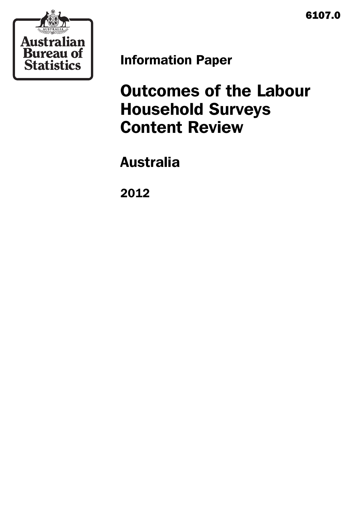6107.0



Information Paper

# Outcomes of the Labour Household Surveys Content Review

Australia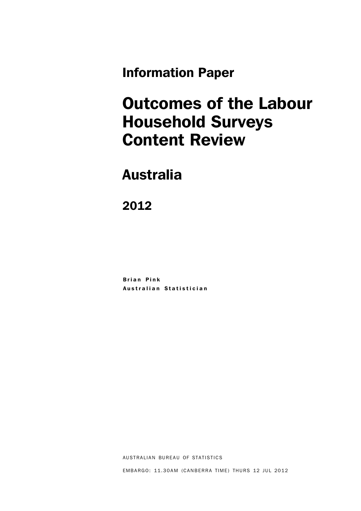Information Paper

## Outcomes of the Labour Household Surveys Content Review

## Australia

2012

Brian Pink Australian Statistician

AUSTRALIAN BUREAU OF STATISTICS

EMBARGO: 11.30AM (CANBERRA TIME) THURS 12 JUL 2012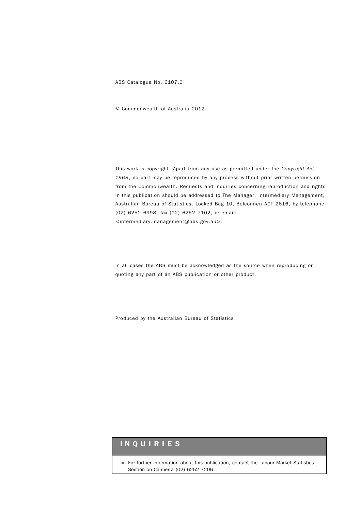ABS Catalogue No. 6107.0

© Commonwealth of Australia 2012

This work is copyright. Apart from any use as permitted under the *Copyright Act 1968*, no part may be reproduced by any process without prior written permission from the Commonwealth. Requests and inquiries concerning reproduction and rights in this publication should be addressed to The Manager, Intermediary Management, Australian Bureau of Statistics, Locked Bag 10, Belconnen ACT 2616, by telephone (02) 6252 6998, fax (02) 6252 7102, or email: <intermediary.management@abs.gov.au>.

In all cases the ABS must be acknowledged as the source when reproducing or quoting any part of an ABS publication or other product.

Produced by the Australian Bureau of Statistics

#### INQUIRIES

! For further information about this publication, contact the Labour Market Statistics Section on Canberra (02) 6252 7206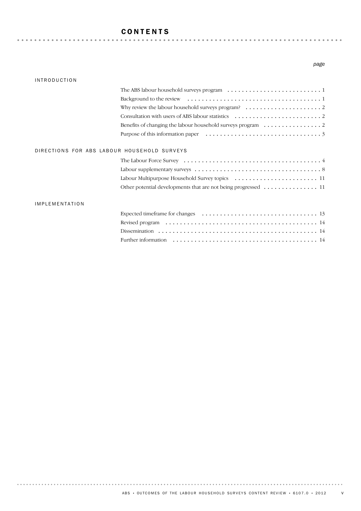#### CONTENTS

#### INTRODUCTION

#### *page*

|                                             | The ABS labour household surveys program $\dots \dots \dots \dots \dots \dots \dots \dots \dots \dots$ |
|---------------------------------------------|--------------------------------------------------------------------------------------------------------|
|                                             |                                                                                                        |
|                                             | Why review the labour household surveys program? $\dots \dots \dots \dots \dots \dots \dots$           |
|                                             |                                                                                                        |
|                                             |                                                                                                        |
|                                             | Purpose of this information paper $\dots \dots \dots \dots \dots \dots \dots \dots \dots \dots$        |
| DIRECTIONS FOR ABS LABOUR HOUSEHOLD SURVEYS |                                                                                                        |
|                                             |                                                                                                        |
|                                             |                                                                                                        |
|                                             | Labour Multipurpose Household Survey topics  11                                                        |
|                                             | Other potential developments that are not being progressed  11                                         |
| <b>IMPLEMENTATION</b>                       |                                                                                                        |
|                                             |                                                                                                        |
|                                             |                                                                                                        |
|                                             |                                                                                                        |
|                                             |                                                                                                        |
|                                             |                                                                                                        |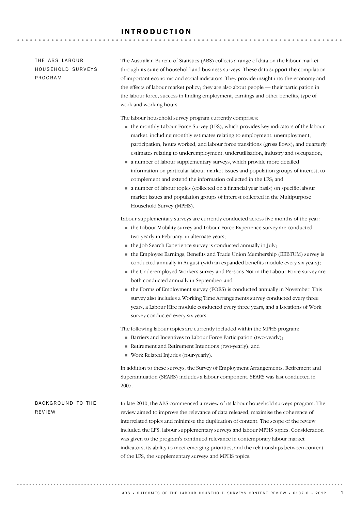#### INTRODUCTION

#### THE ABS LABOUR HOUSEHOLD SURVEYS PROGRAM

The Australian Bureau of Statistics (ABS) collects a range of data on the labour market through its suite of household and business surveys. These data support the compilation of important economic and social indicators. They provide insight into the economy and the effects of labour market policy; they are also about people — their participation in the labour force, success in finding employment, earnings and other benefits, type of work and working hours.

The labour household survey program currently comprises:

- ! the monthly Labour Force Survey (LFS), which provides key indicators of the labour market, including monthly estimates relating to employment, unemployment, participation, hours worked, and labour force transitions (gross flows); and quarterly estimates relating to underemployment, underutilisation, industry and occupation;
- ! a number of labour supplementary surveys, which provide more detailed information on particular labour market issues and population groups of interest, to complement and extend the information collected in the LFS; and
- ! a number of labour topics (collected on a financial year basis) on specific labour market issues and population groups of interest collected in the Multipurpose Household Survey (MPHS).

Labour supplementary surveys are currently conducted across five months of the year:

- ! the Labour Mobility survey and Labour Force Experience survey are conducted two-yearly in February, in alternate years;
- ! the Job Search Experience survey is conducted annually in July;
- ! the Employee Earnings, Benefits and Trade Union Membership (EEBTUM) survey is conducted annually in August (with an expanded benefits module every six years);
- ! the Underemployed Workers survey and Persons Not in the Labour Force survey are both conducted annually in September; and
- ! the Forms of Employment survey (FOES) is conducted annually in November. This survey also includes a Working Time Arrangements survey conducted every three years, a Labour Hire module conducted every three years, and a Locations of Work survey conducted every six years.

The following labour topics are currently included within the MPHS program:

- ! Barriers and Incentives to Labour Force Participation (two-yearly);
- ! Retirement and Retirement Intentions (two-yearly); and
- ! Work Related Injuries (four-yearly).

In addition to these surveys, the Survey of Employment Arrangements, Retirement and Superannuation (SEARS) includes a labour component. SEARS was last conducted in 2007.

In late 2010, the ABS commenced a review of its labour household surveys program. The review aimed to improve the relevance of data released, maximise the coherence of interrelated topics and minimise the duplication of content. The scope of the review included the LFS, labour supplementary surveys and labour MPHS topics. Consideration was given to the program's continued relevance in contemporary labour market indicators, its ability to meet emerging priorities, and the relationships between content of the LFS, the supplementary surveys and MPHS topics. BACKGROUND TO THE REVIEW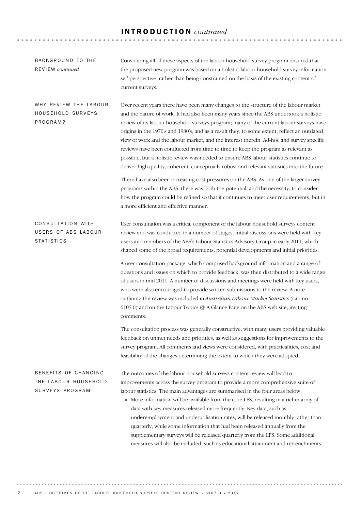## INTRODUCTION *continued*

| BACKGROUND TO THE<br>REVIEW continued                           | Considering all of these aspects of the labour household survey program ensured that<br>the proposed new program was based on a holistic 'labour household survey information<br>set' perspective, rather than being constrained on the basis of the existing content of<br>current surveys.                                                                                                                                                                                                                                                                                                                                                                                                                                                           |
|-----------------------------------------------------------------|--------------------------------------------------------------------------------------------------------------------------------------------------------------------------------------------------------------------------------------------------------------------------------------------------------------------------------------------------------------------------------------------------------------------------------------------------------------------------------------------------------------------------------------------------------------------------------------------------------------------------------------------------------------------------------------------------------------------------------------------------------|
| WHY REVIEW THE LABOUR<br>HOUSEHOLD SURVEYS<br>PROGRAM?          | Over recent years there have been many changes to the structure of the labour market<br>and the nature of work. It had also been many years since the ABS undertook a holistic<br>review of its labour household surveys program; many of the current labour surveys have<br>origins in the 1970's and 1980's, and as a result they, to some extent, reflect an outdated<br>view of work and the labour market, and the interest therein. Ad-hoc and survey specific<br>reviews have been conducted from time to time to keep the program as relevant as<br>possible, but a holistic review was needed to ensure ABS labour statistics continue to<br>deliver high quality, coherent, conceptually robust and relevant statistics into the future.     |
|                                                                 | There have also been increasing cost pressures on the ABS. As one of the larger survey<br>programs within the ABS, there was both the potential, and the necessity, to consider<br>how the program could be refined so that it continues to meet user requirements, but in<br>a more efficient and effective manner.                                                                                                                                                                                                                                                                                                                                                                                                                                   |
| CONSULTATION WITH<br>USERS OF ABS LABOUR<br><b>STATISTICS</b>   | User consultation was a critical component of the labour household surveys content<br>review and was conducted in a number of stages. Initial discussions were held with key<br>users and members of the ABS's Labour Statistics Advisory Group in early 2011, which<br>shaped some of the broad requirements, potential developments and initial priorities.                                                                                                                                                                                                                                                                                                                                                                                          |
|                                                                 | A user consultation package, which comprised background information and a range of<br>questions and issues on which to provide feedback, was then distributed to a wide range<br>of users in mid 2011. A number of discussions and meetings were held with key users,<br>who were also encouraged to provide written submissions to the review. A note<br>outlining the review was included in Australian Labour Market Statistics (cat. no.<br>6105.0) and on the Labour Topics @ A Glance Page on the ABS web site, inviting<br>comments.                                                                                                                                                                                                            |
|                                                                 | The consultation process was generally constructive, with many users providing valuable<br>feedback on unmet needs and priorities, as well as suggestions for improvements to the<br>survey program. All comments and views were considered, with practicalities, cost and<br>feasibility of the changes determining the extent to which they were adopted.                                                                                                                                                                                                                                                                                                                                                                                            |
| BENEFITS OF CHANGING<br>THE LABOUR HOUSEHOLD<br>SURVEYS PROGRAM | The outcomes of the labour household surveys content review will lead to<br>improvements across the survey program to provide a more comprehensive suite of<br>labour statistics. The main advantages are summarised in the four areas below.<br>• More information will be available from the core LFS, resulting in a richer array of<br>data with key measures released more frequently. Key data, such as<br>underemployment and underutilisation rates, will be released monthly rather than<br>quarterly, while some information that had been released annually from the<br>supplementary surveys will be released quarterly from the LFS. Some additional<br>measures will also be included, such as educational attainment and retrenchments. |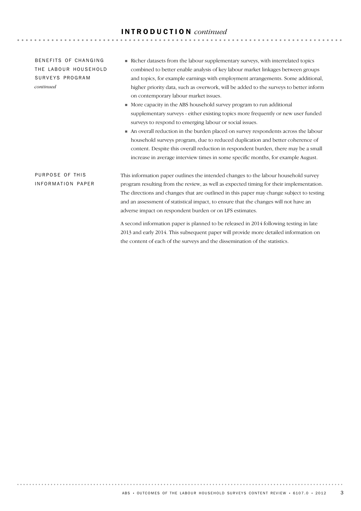#### INTRODUCTION *continued*

BENFFITS OF CHANGING THE LABOUR HOUSEHOLD SURVEYS PROGRAM *continued*

PURPOSE OF THIS INFORMATION PAPER

- ! Richer datasets from the labour supplementary surveys, with interrelated topics combined to better enable analysis of key labour market linkages between groups and topics, for example earnings with employment arrangements. Some additional, higher priority data, such as overwork, will be added to the surveys to better inform on contemporary labour market issues.
- ! More capacity in the ABS household survey program to run additional supplementary surveys - either existing topics more frequently or new user funded surveys to respond to emerging labour or social issues.
- ! An overall reduction in the burden placed on survey respondents across the labour household surveys program, due to reduced duplication and better coherence of content. Despite this overall reduction in respondent burden, there may be a small increase in average interview times in some specific months, for example August.

This information paper outlines the intended changes to the labour household survey program resulting from the review, as well as expected timing for their implementation. The directions and changes that are outlined in this paper may change subject to testing and an assessment of statistical impact, to ensure that the changes will not have an adverse impact on respondent burden or on LFS estimates.

A second information paper is planned to be released in 2014 following testing in late 2013 and early 2014. This subsequent paper will provide more detailed information on the content of each of the surveys and the dissemination of the statistics.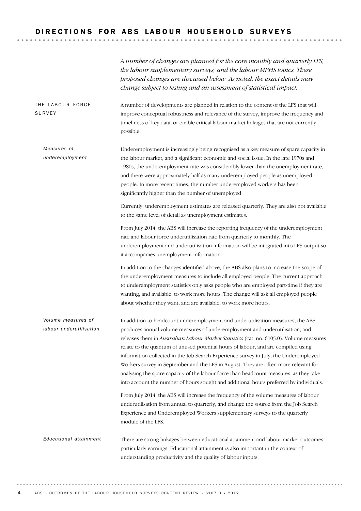#### DIRECTIONS FOR ABS LABOUR HOUSEHOLD SURVEYS

*A number of changes are planned for the core monthly and quarterly LFS, the labour supplementary surveys, and the labour MPHS topics. These proposed changes are discussed below. As noted, the exact details may change subject to testing and an assessment of statistical impact.*

A number of developments are planned in relation to the content of the LFS that will improve conceptual robustness and relevance of the survey, improve the frequency and timeliness of key data, or enable critical labour market linkages that are not currently possible. THE LABOUR FORCE SURVEY

Underemployment is increasingly being recognised as a key measure of spare capacity in the labour market, and a significant economic and social issue. In the late 1970s and 1980s, the underemployment rate was considerably lower than the unemployment rate, and there were approximately half as many underemployed people as unemployed people. In more recent times, the number underemployed workers has been significantly higher than the number of unemployed. *Measures of underemployment*

> Currently, underemployment estimates are released quarterly. They are also not available to the same level of detail as unemployment estimates.

> From July 2014, the ABS will increase the reporting frequency of the underemployment rate and labour force underutilisation rate from quarterly to monthly. The underemployment and underutilisation information will be integrated into LFS output so it accompanies unemployment information.

In addition to the changes identified above, the ABS also plans to increase the scope of the underemployment measures to include all employed people. The current approach to underemployment statistics only asks people who are employed part-time if they are wanting, and available, to work more hours. The change will ask all employed people about whether they want, and are available, to work more hours.

In addition to headcount underemployment and underutilisation measures, the ABS produces annual volume measures of underemployment and underutilisation, and releases them in *Australian Labour Market Statistics* (cat. no. 6105.0). Volume measures relate to the quantum of unused potential hours of labour, and are compiled using information collected in the Job Search Experience survey in July, the Underemployed Workers survey in September and the LFS in August. They are often more relevant for analysing the spare capacity of the labour force than headcount measures, as they take into account the number of hours sought and additional hours preferred by individuals. *Volume measures of labour underutilisation*

> From July 2014, the ABS will increase the frequency of the volume measures of labour underutilisation from annual to quarterly, and change the source from the Job Search Experience and Underemployed Workers supplementary surveys to the quarterly module of the LFS.

There are strong linkages between educational attainment and labour market outcomes, particularly earnings. Educational attainment is also important in the context of understanding productivity and the quality of labour inputs. *Educational attainment*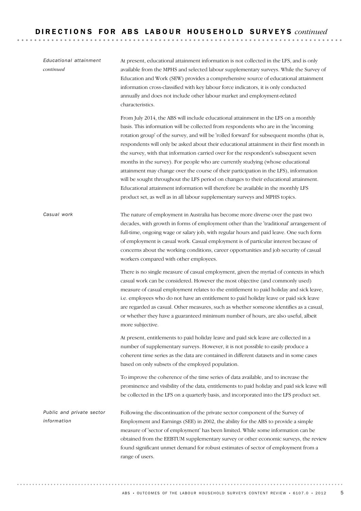| Educational attainment<br>continued      | At present, educational attainment information is not collected in the LFS, and is only<br>available from the MPHS and selected labour supplementary surveys. While the Survey of<br>Education and Work (SEW) provides a comprehensive source of educational attainment<br>information cross-classified with key labour force indicators, it is only conducted<br>annually and does not include other labour market and employment-related<br>characteristics.                                                                                                                                                                                                                                                                                                                                                                                                                                          |  |  |
|------------------------------------------|---------------------------------------------------------------------------------------------------------------------------------------------------------------------------------------------------------------------------------------------------------------------------------------------------------------------------------------------------------------------------------------------------------------------------------------------------------------------------------------------------------------------------------------------------------------------------------------------------------------------------------------------------------------------------------------------------------------------------------------------------------------------------------------------------------------------------------------------------------------------------------------------------------|--|--|
|                                          | From July 2014, the ABS will include educational attainment in the LFS on a monthly<br>basis. This information will be collected from respondents who are in the 'incoming<br>rotation group' of the survey, and will be 'rolled forward' for subsequent months (that is,<br>respondents will only be asked about their educational attainment in their first month in<br>the survey, with that information carried over for the respondent's subsequent seven<br>months in the survey). For people who are currently studying (whose educational<br>attainment may change over the course of their participation in the LFS), information<br>will be sought throughout the LFS period on changes to their educational attainment.<br>Educational attainment information will therefore be available in the monthly LFS<br>product set, as well as in all labour supplementary surveys and MPHS topics. |  |  |
| Casual work                              | The nature of employment in Australia has become more diverse over the past two<br>decades, with growth in forms of employment other than the 'traditional' arrangement of<br>full-time, ongoing wage or salary job, with regular hours and paid leave. One such form<br>of employment is casual work. Casual employment is of particular interest because of<br>concerns about the working conditions, career opportunities and job security of casual<br>workers compared with other employees.                                                                                                                                                                                                                                                                                                                                                                                                       |  |  |
|                                          | There is no single measure of casual employment, given the myriad of contexts in which<br>casual work can be considered. However the most objective (and commonly used)<br>measure of casual employment relates to the entitlement to paid holiday and sick leave,<br>i.e. employees who do not have an entitlement to paid holiday leave or paid sick leave<br>are regarded as casual. Other measures, such as whether someone identifies as a casual,<br>or whether they have a guaranteed minimum number of hours, are also useful, albeit<br>more subjective.                                                                                                                                                                                                                                                                                                                                       |  |  |
|                                          | At present, entitlements to paid holiday leave and paid sick leave are collected in a<br>number of supplementary surveys. However, it is not possible to easily produce a<br>coherent time series as the data are contained in different datasets and in some cases<br>based on only subsets of the employed population.                                                                                                                                                                                                                                                                                                                                                                                                                                                                                                                                                                                |  |  |
|                                          | To improve the coherence of the time series of data available, and to increase the<br>prominence and visibility of the data, entitlements to paid holiday and paid sick leave will<br>be collected in the LFS on a quarterly basis, and incorporated into the LFS product set.                                                                                                                                                                                                                                                                                                                                                                                                                                                                                                                                                                                                                          |  |  |
| Public and private sector<br>information | Following the discontinuation of the private sector component of the Survey of<br>Employment and Earnings (SEE) in 2002, the ability for the ABS to provide a simple<br>measure of 'sector of employment' has been limited. While some information can be<br>obtained from the EEBTUM supplementary survey or other economic surveys, the review<br>found significant unmet demand for robust estimates of sector of employment from a<br>range of users.                                                                                                                                                                                                                                                                                                                                                                                                                                               |  |  |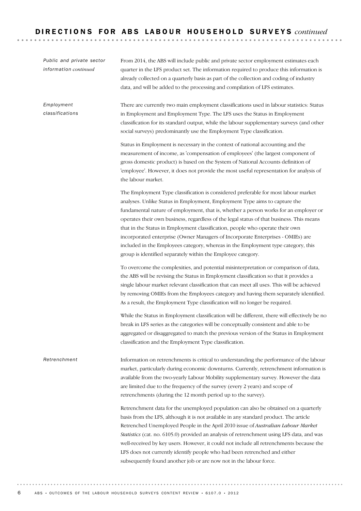Information on retrenchments is critical to understanding the performance of the labour market, particularly during economic downturns. Currently, retrenchment information is available from the two-yearly Labour Mobility supplementary survey. However the data are limited due to the frequency of the survey (every 2 years) and scope of retrenchments (during the 12 month period up to the survey). Retrenchment data for the unemployed population can also be obtained on a quarterly basis from the LFS, although it is not available in any standard product. The article Retrenched Unemployed People in the April 2010 issue of *Australian Labour Market Statistics* (cat. no. 6105.0) provided an analysis of retrenchment using LFS data, and was well-received by key users. However, it could not include all retrenchments because the LFS does not currently identify people who had been retrenched and either subsequently found another job or are now not in the labour force. *Retrenchment* There are currently two main employment classifications used in labour statistics: Status in Employment and Employment Type. The LFS uses the Status in Employment classification for its standard output, while the labour supplementary surveys (and other social surveys) predominantly use the Employment Type classification. Status in Employment is necessary in the context of national accounting and the measurement of income, as 'compensation of employees' (the largest component of gross domestic product) is based on the System of National Accounts definition of 'employee'. However, it does not provide the most useful representation for analysis of the labour market. The Employment Type classification is considered preferable for most labour market analyses. Unlike Status in Employment, Employment Type aims to capture the fundamental nature of employment, that is, whether a person works for an employer or operates their own business, regardless of the legal status of that business. This means that in the Status in Employment classification, people who operate their own incorporated enterprise (Owner Managers of Incorporate Enterprises - OMIEs) are included in the Employees category, whereas in the Employment type category, this group is identified separately within the Employee category. To overcome the complexities, and potential misinterpretation or comparison of data, the ABS will be revising the Status in Employment classification so that it provides a single labour market relevant classification that can meet all uses. This will be achieved by removing OMIEs from the Employees category and having them separately identified. As a result, the Employment Type classification will no longer be required. While the Status in Employment classification will be different, there will effectively be no break in LFS series as the categories will be conceptually consistent and able to be aggregated or disaggregated to match the previous version of the Status in Employment classification and the Employment Type classification. *Employment classifications* From 2014, the ABS will include public and private sector employment estimates each quarter in the LFS product set. The information required to produce this information is already collected on a quarterly basis as part of the collection and coding of industry data, and will be added to the processing and compilation of LFS estimates. *Public and private sector information continued*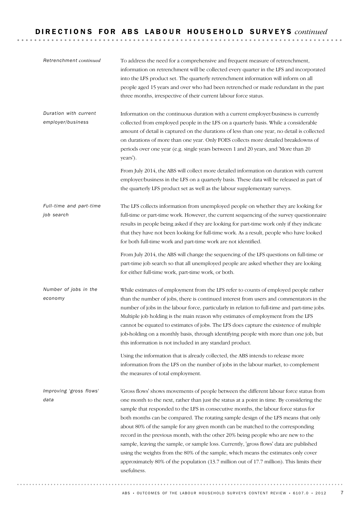| Retrenchment continued                     | To address the need for a comprehensive and frequent measure of retrenchment,<br>information on retrenchment will be collected every quarter in the LFS and incorporated<br>into the LFS product set. The quarterly retrenchment information will inform on all<br>people aged 15 years and over who had been retrenched or made redundant in the past<br>three months, irrespective of their current labour force status.                                                                                                                                                                                                                                                                                                                                                                                                           |
|--------------------------------------------|--------------------------------------------------------------------------------------------------------------------------------------------------------------------------------------------------------------------------------------------------------------------------------------------------------------------------------------------------------------------------------------------------------------------------------------------------------------------------------------------------------------------------------------------------------------------------------------------------------------------------------------------------------------------------------------------------------------------------------------------------------------------------------------------------------------------------------------|
| Duration with current<br>employer/business | Information on the continuous duration with a current employer/business is currently<br>collected from employed people in the LFS on a quarterly basis. While a considerable<br>amount of detail is captured on the durations of less than one year, no detail is collected<br>on durations of more than one year. Only FOES collects more detailed breakdowns of<br>periods over one year (e.g. single years between 1 and 20 years, and 'More than 20<br>years').                                                                                                                                                                                                                                                                                                                                                                  |
|                                            | From July 2014, the ABS will collect more detailed information on duration with current<br>employer/business in the LFS on a quarterly basis. These data will be released as part of<br>the quarterly LFS product set as well as the labour supplementary surveys.                                                                                                                                                                                                                                                                                                                                                                                                                                                                                                                                                                   |
| Full-time and part-time<br>job search      | The LFS collects information from unemployed people on whether they are looking for<br>full-time or part-time work. However, the current sequencing of the survey questionnaire<br>results in people being asked if they are looking for part-time work only if they indicate<br>that they have not been looking for full-time work. As a result, people who have looked<br>for both full-time work and part-time work are not identified.                                                                                                                                                                                                                                                                                                                                                                                           |
|                                            | From July 2014, the ABS will change the sequencing of the LFS questions on full-time or<br>part-time job search so that all unemployed people are asked whether they are looking<br>for either full-time work, part-time work, or both.                                                                                                                                                                                                                                                                                                                                                                                                                                                                                                                                                                                              |
| Number of jobs in the<br>economy           | While estimates of employment from the LFS refer to counts of employed people rather<br>than the number of jobs, there is continued interest from users and commentators in the<br>number of jobs in the labour force, particularly in relation to full-time and part-time jobs.<br>Multiple job holding is the main reason why estimates of employment from the LFS<br>cannot be equated to estimates of jobs. The LFS does capture the existence of multiple<br>job-holding on a monthly basis, through identifying people with more than one job, but<br>this information is not included in any standard product.                                                                                                                                                                                                                |
|                                            | Using the information that is already collected, the ABS intends to release more<br>information from the LFS on the number of jobs in the labour market, to complement<br>the measures of total employment.                                                                                                                                                                                                                                                                                                                                                                                                                                                                                                                                                                                                                          |
| Improving 'gross flows'<br>data            | 'Gross flows' shows movements of people between the different labour force status from<br>one month to the next, rather than just the status at a point in time. By considering the<br>sample that responded to the LFS in consecutive months, the labour force status for<br>both months can be compared. The rotating sample design of the LFS means that only<br>about 80% of the sample for any given month can be matched to the corresponding<br>record in the previous month, with the other 20% being people who are new to the<br>sample, leaving the sample, or sample loss. Currently, 'gross flows' data are published<br>using the weights from the 80% of the sample, which means the estimates only cover<br>approximately 80% of the population (13.7 million out of 17.7 million). This limits their<br>usefulness. |
|                                            |                                                                                                                                                                                                                                                                                                                                                                                                                                                                                                                                                                                                                                                                                                                                                                                                                                      |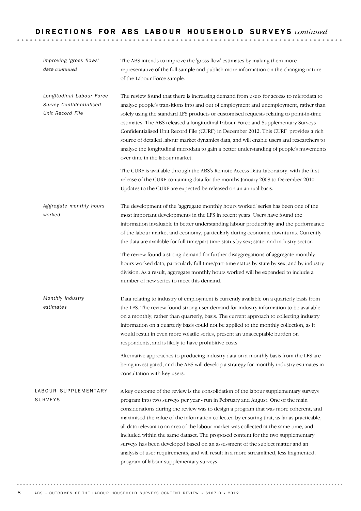| Improving 'gross flows'<br>data continued                                | The ABS intends to improve the 'gross flow' estimates by making them more<br>representative of the full sample and publish more information on the changing nature<br>of the Labour Force sample.                                                                                                                                                                                                                                                                                                                                                                                                                                                                                                                                                                 |
|--------------------------------------------------------------------------|-------------------------------------------------------------------------------------------------------------------------------------------------------------------------------------------------------------------------------------------------------------------------------------------------------------------------------------------------------------------------------------------------------------------------------------------------------------------------------------------------------------------------------------------------------------------------------------------------------------------------------------------------------------------------------------------------------------------------------------------------------------------|
| Longitudinal Labour Force<br>Survey Confidentialised<br>Unit Record File | The review found that there is increasing demand from users for access to microdata to<br>analyse people's transitions into and out of employment and unemployment, rather than<br>solely using the standard LFS products or customised requests relating to point-in-time<br>estimates. The ABS released a longitudinal Labour Force and Supplementary Surveys<br>Confidentialised Unit Record File (CURF) in December 2012. This CURF provides a rich<br>source of detailed labour market dynamics data, and will enable users and researchers to<br>analyse the longitudinal microdata to gain a better understanding of people's movements<br>over time in the labour market.                                                                                 |
|                                                                          | The CURF is available through the ABS's Remote Access Data Laboratory, with the first<br>release of the CURF containing data for the months January 2008 to December 2010.<br>Updates to the CURF are expected be released on an annual basis.                                                                                                                                                                                                                                                                                                                                                                                                                                                                                                                    |
| Aggregate monthly hours<br>worked                                        | The development of the 'aggregate monthly hours worked' series has been one of the<br>most important developments in the LFS in recent years. Users have found the<br>information invaluable in better understanding labour productivity and the performance<br>of the labour market and economy, particularly during economic downturns. Currently<br>the data are available for full-time/part-time status by sex; state; and industry sector.                                                                                                                                                                                                                                                                                                                  |
|                                                                          | The review found a strong demand for further disaggregations of aggregate monthly<br>hours worked data, particularly full-time/part-time status by state by sex; and by industry<br>division. As a result, aggregate monthly hours worked will be expanded to include a<br>number of new series to meet this demand.                                                                                                                                                                                                                                                                                                                                                                                                                                              |
| Monthly industry<br>estimates                                            | Data relating to industry of employment is currently available on a quarterly basis from<br>the LFS. The review found strong user demand for industry information to be available<br>on a monthly, rather than quarterly, basis. The current approach to collecting industry<br>information on a quarterly basis could not be applied to the monthly collection, as it<br>would result in even more volatile series, present an unacceptable burden on<br>respondents, and is likely to have prohibitive costs.                                                                                                                                                                                                                                                   |
|                                                                          | Alternative approaches to producing industry data on a monthly basis from the LFS are<br>being investigated, and the ABS will develop a strategy for monthly industry estimates in<br>consultation with key users.                                                                                                                                                                                                                                                                                                                                                                                                                                                                                                                                                |
| LABOUR SUPPLEMENTARY<br><b>SURVEYS</b>                                   | A key outcome of the review is the consolidation of the labour supplementary surveys<br>program into two surveys per year - run in February and August. One of the main<br>considerations during the review was to design a program that was more coherent, and<br>maximised the value of the information collected by ensuring that, as far as practicable,<br>all data relevant to an area of the labour market was collected at the same time, and<br>included within the same dataset. The proposed content for the two supplementary<br>surveys has been developed based on an assessment of the subject matter and an<br>analysis of user requirements, and will result in a more streamlined, less fragmented,<br>program of labour supplementary surveys. |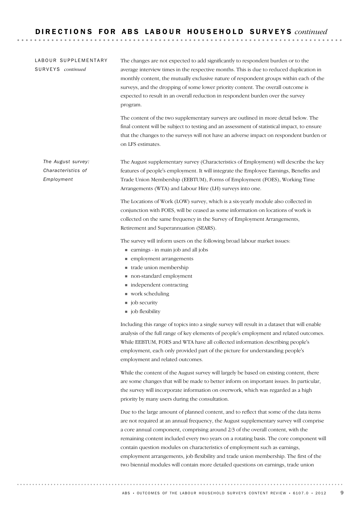#### LABOUR SUPPLEMENTARY SU R V E Y S *continued*

The changes are not expected to add significantly to respondent burden or to the average interview times in the respective months. This is due to reduced duplication in monthly content, the mutually exclusive nature of respondent groups within each of the surveys, and the dropping of some lower priority content. The overall outcome is expected to result in an overall reduction in respondent burden over the survey program.

The content of the two supplementary surveys are outlined in more detail below. The final content will be subject to testing and an assessment of statistical impact, to ensure that the changes to the surveys will not have an adverse impact on respondent burden or on LFS estimates.

The August supplementary survey (Characteristics of Employment) will describe the key features of people's employment. It will integrate the Employee Earnings, Benefits and Trade Union Membership (EEBTUM), Forms of Employment (FOES), Working Time Arrangements (WTA) and Labour Hire (LH) surveys into one. *The August survey: Characteristics of Employment*

> The Locations of Work (LOW) survey, which is a six-yearly module also collected in conjunction with FOES, will be ceased as some information on locations of work is collected on the same frequency in the Survey of Employment Arrangements, Retirement and Superannuation (SEARS).

The survey will inform users on the following broad labour market issues:

- ! earnings in main job and all jobs
- **m** employment arrangements
- ! trade union membership
- ! non-standard employment
- $\blacksquare$  independent contracting
- work scheduling
- job security
- job flexibility

Including this range of topics into a single survey will result in a dataset that will enable analysis of the full range of key elements of people's employment and related outcomes. While EEBTUM, FOES and WTA have all collected information describing people's employment, each only provided part of the picture for understanding people's employment and related outcomes.

While the content of the August survey will largely be based on existing content, there are some changes that will be made to better inform on important issues. In particular, the survey will incorporate information on overwork, which was regarded as a high priority by many users during the consultation.

Due to the large amount of planned content, and to reflect that some of the data items are not required at an annual frequency, the August supplementary survey will comprise a core annual component, comprising around 2/3 of the overall content, with the remaining content included every two years on a rotating basis. The core component will contain question modules on characteristics of employment such as earnings, employment arrangements, job flexibility and trade union membership. The first of the two biennial modules will contain more detailed questions on earnings, trade union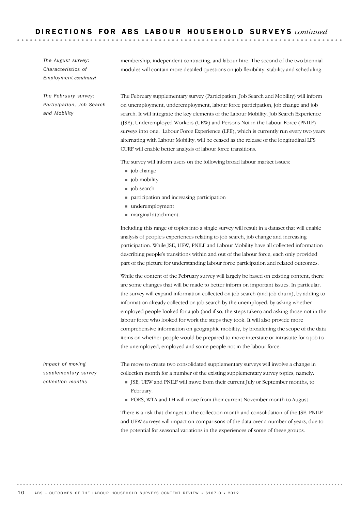*The August survey: Characteristics of Employment continued* membership, independent contracting, and labour hire. The second of the two biennial modules will contain more detailed questions on job flexibility, stability and scheduling.

*The February survey: Participation, Job Search and Mobility*

The February supplementary survey (Participation, Job Search and Mobility) will inform on unemployment, underemployment, labour force participation, job change and job search. It will integrate the key elements of the Labour Mobility, Job Search Experience (JSE), Underemployed Workers (UEW) and Persons Not in the Labour Force (PNILF) surveys into one. Labour Force Experience (LFE), which is currently run every two years alternating with Labour Mobility, will be ceased as the release of the longitudinal LFS CURF will enable better analysis of labour force transitions.

The survey will inform users on the following broad labour market issues:

- job change
- job mobility
- job search
- ! participation and increasing participation
- underemployment
- ! marginal attachment.

Including this range of topics into a single survey will result in a dataset that will enable analysis of people's experiences relating to job search, job change and increasing participation. While JSE, UEW, PNILF and Labour Mobility have all collected information describing people's transitions within and out of the labour force, each only provided part of the picture for understanding labour force participation and related outcomes.

While the content of the February survey will largely be based on existing content, there are some changes that will be made to better inform on important issues. In particular, the survey will expand information collected on job search (and job churn), by adding to information already collected on job search by the unemployed, by asking whether employed people looked for a job (and if so, the steps taken) and asking those not in the labour force who looked for work the steps they took. It will also provide more comprehensive information on geographic mobility, by broadening the scope of the data items on whether people would be prepared to move interstate or intrastate for a job to the unemployed, employed and some people not in the labour force.

*Impact of moving supplementary survey collection months*

The move to create two consolidated supplementary surveys will involve a change in collection month for a number of the existing supplementary survey topics, namely:

- ! JSE, UEW and PNILF will move from their current July or September months, to February.
- ! FOES, WTA and LH will move from their current November month to August

There is a risk that changes to the collection month and consolidation of the JSE, PNILF and UEW surveys will impact on comparisons of the data over a number of years, due to the potential for seasonal variations in the experiences of some of these groups.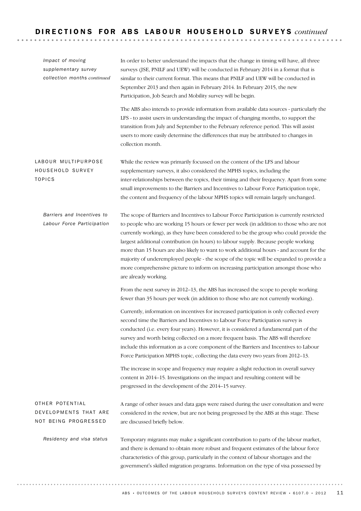| Impact of moving<br>supplementary survey<br>collection months continued | In order to better understand the impacts that the change in timing will have, all three<br>surveys (JSE, PNILF and UEW) will be conducted in February 2014 in a format that is<br>similar to their current format. This means that PNILF and UEW will be conducted in<br>September 2013 and then again in February 2014. In February 2015, the new<br>Participation, Job Search and Mobility survey will be begin.                                                                                                                                                                                                                                                         |  |
|-------------------------------------------------------------------------|-----------------------------------------------------------------------------------------------------------------------------------------------------------------------------------------------------------------------------------------------------------------------------------------------------------------------------------------------------------------------------------------------------------------------------------------------------------------------------------------------------------------------------------------------------------------------------------------------------------------------------------------------------------------------------|--|
|                                                                         | The ABS also intends to provide information from available data sources - particularly the<br>LFS - to assist users in understanding the impact of changing months, to support the<br>transition from July and September to the February reference period. This will assist<br>users to more easily determine the differences that may be attributed to changes in<br>collection month.                                                                                                                                                                                                                                                                                     |  |
| LABOUR MULTIPURPOSE<br>HOUSEHOLD SURVEY<br><b>TOPICS</b>                | While the review was primarily focussed on the content of the LFS and labour<br>supplementary surveys, it also considered the MPHS topics, including the<br>inter-relationships between the topics, their timing and their frequency. Apart from some<br>small improvements to the Barriers and Incentives to Labour Force Participation topic,<br>the content and frequency of the labour MPHS topics will remain largely unchanged.                                                                                                                                                                                                                                       |  |
| Barriers and Incentives to<br>Labour Force Participation                | The scope of Barriers and Incentives to Labour Force Participation is currently restricted<br>to people who are working 15 hours or fewer per week (in addition to those who are not<br>currently working), as they have been considered to be the group who could provide the<br>largest additional contribution (in hours) to labour supply. Because people working<br>more than 15 hours are also likely to want to work additional hours - and account for the<br>majority of underemployed people - the scope of the topic will be expanded to provide a<br>more comprehensive picture to inform on increasing participation amongst those who<br>are already working. |  |
|                                                                         | From the next survey in 2012–13, the ABS has increased the scope to people working<br>fewer than 35 hours per week (in addition to those who are not currently working).                                                                                                                                                                                                                                                                                                                                                                                                                                                                                                    |  |
|                                                                         | Currently, information on incentives for increased participation is only collected every<br>second time the Barriers and Incentives to Labour Force Participation survey is<br>conducted (i.e. every four years). However, it is considered a fundamental part of the<br>survey and worth being collected on a more frequent basis. The ABS will therefore<br>include this information as a core component of the Barriers and Incentives to Labour<br>Force Participation MPHS topic, collecting the data every two years from 2012-13.                                                                                                                                    |  |
|                                                                         | The increase in scope and frequency may require a slight reduction in overall survey<br>content in 2014-15. Investigations on the impact and resulting content will be<br>progressed in the development of the 2014-15 survey.                                                                                                                                                                                                                                                                                                                                                                                                                                              |  |
| OTHER POTENTIAL<br>DEVELOPMENTS THAT ARE<br>NOT BEING PROGRESSED        | A range of other issues and data gaps were raised during the user consultation and were<br>considered in the review, but are not being progressed by the ABS at this stage. These<br>are discussed briefly below.                                                                                                                                                                                                                                                                                                                                                                                                                                                           |  |
| Residency and visa status                                               | Temporary migrants may make a significant contribution to parts of the labour market,<br>and there is demand to obtain more robust and frequent estimates of the labour force<br>characteristics of this group, particularly in the context of labour shortages and the<br>government's skilled migration programs. Information on the type of visa possessed by                                                                                                                                                                                                                                                                                                            |  |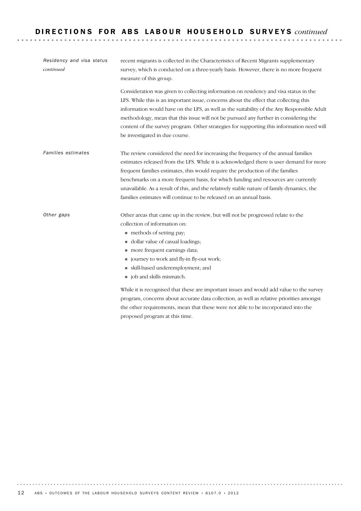| Residency and visa status<br>continued | recent migrants is collected in the Characteristics of Recent Migrants supplementary<br>survey, which is conducted on a three-yearly basis. However, there is no more frequent<br>measure of this group.                                                                                                                                                                                                                                                                                                                   |  |  |
|----------------------------------------|----------------------------------------------------------------------------------------------------------------------------------------------------------------------------------------------------------------------------------------------------------------------------------------------------------------------------------------------------------------------------------------------------------------------------------------------------------------------------------------------------------------------------|--|--|
|                                        | Consideration was given to collecting information on residency and visa status in the<br>LFS. While this is an important issue, concerns about the effect that collecting this<br>information would have on the LFS, as well as the suitability of the Any Responsible Adult<br>methodology, mean that this issue will not be pursued any further in considering the<br>content of the survey program. Other strategies for supporting this information need will<br>be investigated in due course.                        |  |  |
| Families estimates                     | The review considered the need for increasing the frequency of the annual families<br>estimates released from the LFS. While it is acknowledged there is user demand for more<br>frequent families estimates, this would require the production of the families<br>benchmarks on a more frequent basis, for which funding and resources are currently<br>unavailable. As a result of this, and the relatively stable nature of family dynamics, the<br>families estimates will continue to be released on an annual basis. |  |  |
| Other gaps                             | Other areas that came up in the review, but will not be progressed relate to the<br>collection of information on:<br>methods of setting pay;<br>dollar value of casual loadings;<br>more frequent earnings data;<br>journey to work and fly-in fly-out work;<br>skill-based underemployment; and<br>job and skills mismatch.                                                                                                                                                                                               |  |  |
|                                        | While it is recognised that these are important issues and would add value to the survey<br>program, concerns about accurate data collection, as well as relative priorities amongst                                                                                                                                                                                                                                                                                                                                       |  |  |

proposed program at this time.

the other requirements, mean that these were not able to be incorporated into the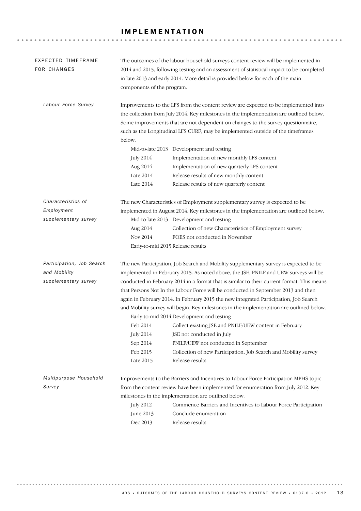#### IMPLEMENTATION

| EXPECTED TIMEFRAME<br><b>FOR CHANGES</b>                          | components of the program.                                        | The outcomes of the labour household surveys content review will be implemented in<br>2014 and 2015, following testing and an assessment of statistical impact to be completed<br>in late 2013 and early 2014. More detail is provided below for each of the main                                                                                                                                                                                                                                                                                                                                                                                                                                                                                                                                                       |
|-------------------------------------------------------------------|-------------------------------------------------------------------|-------------------------------------------------------------------------------------------------------------------------------------------------------------------------------------------------------------------------------------------------------------------------------------------------------------------------------------------------------------------------------------------------------------------------------------------------------------------------------------------------------------------------------------------------------------------------------------------------------------------------------------------------------------------------------------------------------------------------------------------------------------------------------------------------------------------------|
| Labour Force Survey                                               | below.<br><b>July 2014</b><br>Aug 2014<br>Late 2014<br>Late 2014  | Improvements to the LFS from the content review are expected to be implemented into<br>the collection from July 2014. Key milestones in the implementation are outlined below.<br>Some improvements that are not dependent on changes to the survey questionnaire,<br>such as the Longitudinal LFS CURF, may be implemented outside of the timeframes<br>Mid-to-late 2013 Development and testing<br>Implementation of new monthly LFS content<br>Implementation of new quarterly LFS content<br>Release results of new monthly content<br>Release results of new quarterly content                                                                                                                                                                                                                                     |
| Characteristics of<br>Employment<br>supplementary survey          | Aug 2014<br>Nov 2014<br>Early-to-mid 2015 Release results         | The new Characteristics of Employment supplementary survey is expected to be<br>implemented in August 2014. Key milestones in the implementation are outlined below.<br>Mid-to-late 2013 Development and testing<br>Collection of new Characteristics of Employment survey<br>FOES not conducted in November                                                                                                                                                                                                                                                                                                                                                                                                                                                                                                            |
| Participation, Job Search<br>and Mobility<br>supplementary survey | Feb 2014<br><b>July 2014</b><br>Sep 2014<br>Feb 2015<br>Late 2015 | The new Participation, Job Search and Mobility supplementary survey is expected to be<br>implemented in February 2015. As noted above, the JSE, PNILF and UEW surveys will be<br>conducted in February 2014 in a format that is similar to their current format. This means<br>that Persons Not In the Labour Force will be conducted in September 2013 and then<br>again in February 2014. In February 2015 the new integrated Participation, Job Search<br>and Mobility survey will begin. Key milestones in the implementation are outlined below.<br>Early-to-mid 2014 Development and testing<br>Collect existing JSE and PNILF/UEW content in February<br>JSE not conducted in July<br>PNILF/UEW not conducted in September<br>Collection of new Participation, Job Search and Mobility survey<br>Release results |
| Multipurpose Household<br>Survey                                  | <b>July 2012</b><br>June 2013<br>Dec 2013                         | Improvements to the Barriers and Incentives to Labour Force Participation MPHS topic<br>from the content review have been implemented for enumeration from July 2012. Key<br>milestones in the implementation are outlined below.<br>Commence Barriers and Incentives to Labour Force Participation<br>Conclude enumeration<br>Release results                                                                                                                                                                                                                                                                                                                                                                                                                                                                          |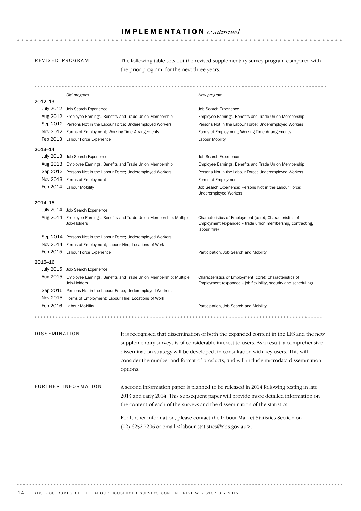#### IMPLEMENTATION *continued*

#### REVISED PROGRAM

The following table sets out the revised supplementary survey program compared with the prior program, for the next three years.

**\*\*\*\*\*\*\*\*\*\*\*\*\*\*** 

*Old program New program* 2012–13 July 2012 Job Search Experience Job Search Experience Aug 2012 Employee Earnings, Benefits and Trade Union Membership Employee Earnings, Benefits and Trade Union Membership Sep 2012 Persons Not in the Labour Force: Underemployed Workers Persons Not in the Labour Force: Underemployed Workers Nov 2012 Forms of Employment; Working Time Arrangements Forms of Employment; Working Time Arrangements Feb 2013 Labour Force Experience Labour Mobility 2013–14 July 2013 Job Search Experience Job Search Experience Aug 2013 Employee Earnings, Benefits and Trade Union Membership Employee Earnings, Benefits and Trade Union Membership Sep 2013 Persons Not in the Labour Force; Underemployed Workers Persons Not in the Labour Force; Underemployed Workers Nov 2013 Forms of Employment **Forms** of Employment Forms of Employment Feb 2014 Labour Mobility Job Search Experience; Persons Not in the Labour Force; Underemployed Workers 2014–15 July 2014 Job Search Experience Characteristics of Employment (core); Characteristics of Aug 2014 Employee Earnings, Benefits and Trade Union Membership; Multiple Employment (expanded - trade union membership, contracting, Job-Holders labour hire) Sep 2014 Persons Not in the Labour Force; Underemployed Workers Nov 2014 Forms of Employment; Labour Hire; Locations of Work Feb 2015 Labour Force Experience **Participation**, Job Search and Mobility 2015–16 July 2015 Job Search Experience Characteristics of Employment (core); Characteristics of Aug 2015 Employee Earnings, Benefits and Trade Union Membership; Multiple Job-Holders Employment (expanded - job flexibility, security and scheduling) Sep 2015 Persons Not in the Labour Force; Underemployed Workers Nov 2015 Forms of Employment; Labour Hire; Locations of Work Feb 2016 Labour Mobility **Participation**, Job Search and Mobility DISSEMINATION It is recognised that dissemination of both the expanded content in the LFS and the new supplementary surveys is of considerable interest to users. As a result, a comprehensive dissemination strategy will be developed, in consultation with key users. This will consider the number and format of products, and will include microdata dissemination options. FURTHER INFORMATION A second information paper is planned to be released in 2014 following testing in late 2013 and early 2014. This subsequent paper will provide more detailed information on the content of each of the surveys and the dissemination of the statistics. For further information, please contact the Labour Market Statistics Section on (02) 6252 7206 or email <labour.statistics@abs.gov.au>.